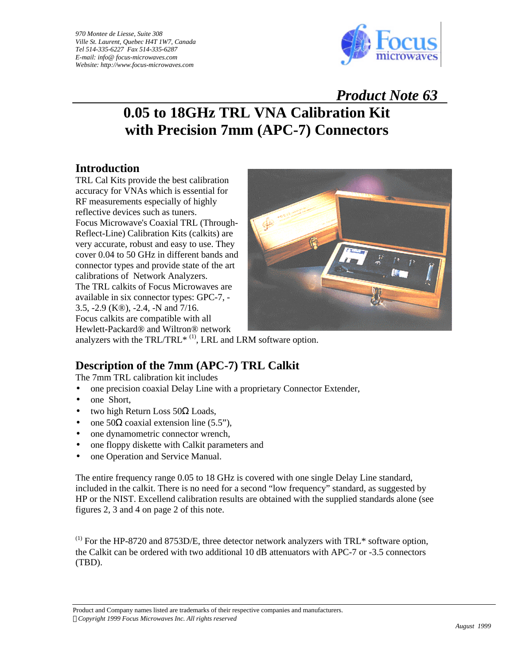*970 Montee de Liesse, Suite 308 Ville St. Laurent, Quebec H4T 1W7, Canada Tel 514-335-6227 Fax 514-335-6287 E-mail: info@ focus-microwaves.com Website: http://www.focus-microwaves.com* 



 *Product Note 63*

## **0.05 to 18GHz TRL VNA Calibration Kit with Precision 7mm (APC-7) Connectors**

## **Introduction**

TRL Cal Kits provide the best calibration accuracy for VNAs which is essential for RF measurements especially of highly reflective devices such as tuners. Focus Microwave's Coaxial TRL (Through-Reflect-Line) Calibration Kits (calkits) are very accurate, robust and easy to use. They cover 0.04 to 50 GHz in different bands and connector types and provide state of the art calibrations of Network Analyzers. The TRL calkits of Focus Microwaves are available in six connector types: GPC-7, - 3.5, -2.9 (K®), -2.4, -N and 7/16. Focus calkits are compatible with all Hewlett-Packard® and Wiltron® network



analyzers with the  $TRL/TRL^*$ <sup>(1)</sup>, LRL and LRM software option.

## **Description of the 7mm (APC-7) TRL Calkit**

The 7mm TRL calibration kit includes

- one precision coaxial Delay Line with a proprietary Connector Extender,
- one Short,
- two high Return Loss 50Ω Loads,
- one  $50\Omega$  coaxial extension line (5.5"),
- one dynamometric connector wrench,
- one floppy diskette with Calkit parameters and
- one Operation and Service Manual.

The entire frequency range 0.05 to 18 GHz is covered with one single Delay Line standard, included in the calkit. There is no need for a second "low frequency" standard, as suggested by HP or the NIST. Excellend calibration results are obtained with the supplied standards alone (see figures 2, 3 and 4 on page 2 of this note.

 $<sup>(1)</sup>$  For the HP-8720 and 8753D/E, three detector network analyzers with TRL\* software option,</sup> the Calkit can be ordered with two additional 10 dB attenuators with APC-7 or -3.5 connectors (TBD).

Product and Company names listed are trademarks of their respective companies and manufacturers. *ÓCopyright 1999 Focus Microwaves Inc. All rights reserved*